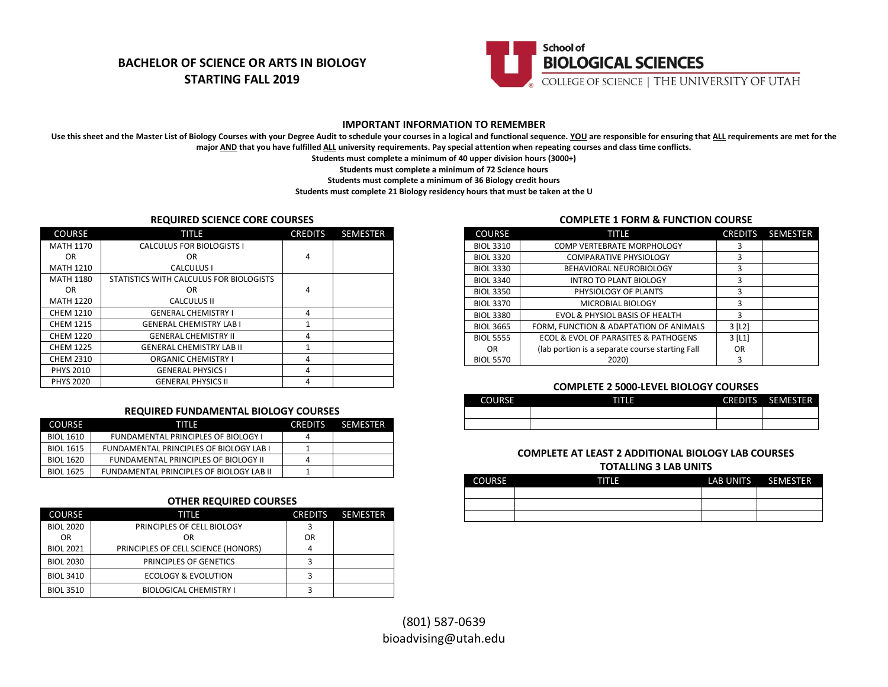# **BACHELOR OF SCIENCE OR ARTS IN BIOLOGY STARTING FALL 2019**



## **IMPORTANT INFORMATION TO REMEMBER**

Use this sheet and the Master List of Biology Courses with your Degree Audit to schedule your courses in a logical and functional sequence. YOU are responsible for ensuring that ALL requirements are met for the **major AND that you have fulfilled ALL university requirements. Pay special attention when repeating courses and class time conflicts.**

**Students must complete a minimum of 40 upper division hours (3000+)**

**Students must complete a minimum of 72 Science hours**

**Students must complete a minimum of 36 Biology credit hours**

**Students must complete 21 Biology residency hours that must be taken at the U**

### **REQUIRED SCIENCE CORE COURSES**

| <b>COURSE</b>    | TITLE                                   | <b>CREDITS</b> | <b>SEMESTER</b> |
|------------------|-----------------------------------------|----------------|-----------------|
| <b>MATH 1170</b> | CALCULUS FOR BIOLOGISTS I               |                |                 |
| OR.              | OR                                      | 4              |                 |
| <b>MATH 1210</b> | CALCULUS I                              |                |                 |
| <b>MATH 1180</b> | STATISTICS WITH CALCULUS FOR BIOLOGISTS |                |                 |
| OR.              | OR                                      | 4              |                 |
| <b>MATH 1220</b> | <b>CALCULUS II</b>                      |                |                 |
| <b>CHEM 1210</b> | <b>GENERAL CHEMISTRY I</b>              | 4              |                 |
| <b>CHEM 1215</b> | <b>GENERAL CHEMISTRY LAB I</b>          | $\mathbf{1}$   |                 |
| <b>CHEM 1220</b> | <b>GENERAL CHEMISTRY II</b>             | 4              |                 |
| <b>CHEM 1225</b> | <b>GENERAL CHEMISTRY LAB II</b>         | 1              |                 |
| <b>CHEM 2310</b> | <b>ORGANIC CHEMISTRY I</b>              | 4              |                 |
| <b>PHYS 2010</b> | <b>GENERAL PHYSICS I</b>                | 4              |                 |
| <b>PHYS 2020</b> | <b>GENERAL PHYSICS II</b>               | 4              |                 |

### **REQUIRED FUNDAMENTAL BIOLOGY COURSES**

| <b>COURSE</b>    | TITIE                                          | <b>CREDITS</b> | <b>SEMESTER</b> |
|------------------|------------------------------------------------|----------------|-----------------|
| BIOL 1610        | <b>FUNDAMENTAL PRINCIPLES OF BIOLOGY I</b>     |                |                 |
| BIOL 1615        | <b>FUNDAMENTAL PRINCIPLES OF BIOLOGY LAB I</b> |                |                 |
| <b>BIOL 1620</b> | FUNDAMENTAL PRINCIPLES OF BIOLOGY II           | 4              |                 |
| <b>BIOL 1625</b> | FUNDAMENTAL PRINCIPLES OF BIOLOGY LAB II       |                |                 |

### **OTHER REQUIRED COURSES**

| <b>COURSE</b>    | TITLE                               | <b>CREDITS</b> | <b>SEMESTER</b> |
|------------------|-------------------------------------|----------------|-----------------|
| <b>BIOL 2020</b> | PRINCIPLES OF CELL BIOLOGY          |                |                 |
| <b>OR</b>        | OR                                  | OR             |                 |
| <b>BIOL 2021</b> | PRINCIPLES OF CELL SCIENCE (HONORS) |                |                 |
| <b>BIOL 2030</b> | PRINCIPLES OF GENETICS              |                |                 |
| <b>BIOL 3410</b> | ECOLOGY & EVOLUTION                 |                |                 |
| <b>BIOL 3510</b> | <b>BIOLOGICAL CHEMISTRY I</b>       |                |                 |

## **COMPLETE 1 FORM & FUNCTION COURSE**

| <b>COURSE</b>    | TITLE                                           | <b>CREDITS</b>        | <b>SEMESTER</b> |
|------------------|-------------------------------------------------|-----------------------|-----------------|
| <b>BIOL 3310</b> | <b>COMP VERTEBRATE MORPHOLOGY</b>               | 3                     |                 |
| <b>BIOL 3320</b> | <b>COMPARATIVE PHYSIOLOGY</b>                   | 3                     |                 |
| <b>BIOL 3330</b> | BEHAVIORAL NEUROBIOLOGY                         | 3                     |                 |
| <b>BIOL 3340</b> | <b>INTRO TO PLANT BIOLOGY</b>                   | 3                     |                 |
| <b>BIOL 3350</b> | PHYSIOLOGY OF PLANTS                            | 3                     |                 |
| <b>BIOL 3370</b> | MICROBIAL BIOLOGY                               | 3                     |                 |
| <b>BIOL 3380</b> | <b>EVOL &amp; PHYSIOL BASIS OF HEALTH</b>       | 3                     |                 |
| <b>BIOL 3665</b> | FORM, FUNCTION & ADAPTATION OF ANIMALS          | $3$ [L <sub>2</sub> ] |                 |
| <b>BIOL 5555</b> | ECOL & EVOL OF PARASITES & PATHOGENS            | $3$ [L <sub>1</sub> ] |                 |
| 0R               | (lab portion is a separate course starting Fall | 0R                    |                 |
| <b>BIOL 5570</b> | 2020)                                           | 3                     |                 |

#### **COMPLETE 2 5000-LEVEL BIOLOGY COURSES**

| <b>COURSE</b> | TITLE | CREDITS SEMESTER |
|---------------|-------|------------------|
|               |       |                  |
|               |       |                  |

# **COMPLETE AT LEAST 2 ADDITIONAL BIOLOGY LAB COURSES**

#### **TOTALLING 3 LAB UNITS**

| <b>COURSE</b> | गाए | LAB UNITS SEMESTER |
|---------------|-----|--------------------|
|               |     |                    |
|               |     |                    |
|               |     |                    |